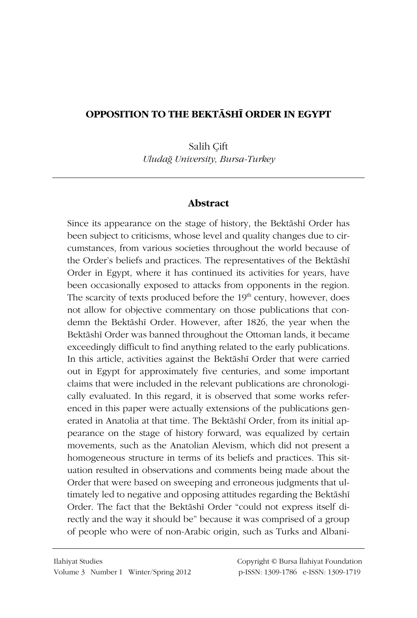## **OPPOSITION TO THE BEKTÂSHÐ ORDER IN EGYPT**

Salih Çift *UludaÍ University, Bursa-Turkey* 

## **Abstract**

Since its appearance on the stage of history, the Bektāshī Order has been subject to criticisms, whose level and quality changes due to circumstances, from various societies throughout the world because of the Order's beliefs and practices. The representatives of the Bektāshī Order in Egypt, where it has continued its activities for years, have been occasionally exposed to attacks from opponents in the region. The scarcity of texts produced before the  $19<sup>th</sup>$  century, however, does not allow for objective commentary on those publications that condemn the Bektāshī Order. However, after 1826, the year when the Bektāshī Order was banned throughout the Ottoman lands, it became exceedingly difficult to find anything related to the early publications. In this article, activities against the Bektāshī Order that were carried out in Egypt for approximately five centuries, and some important claims that were included in the relevant publications are chronologically evaluated. In this regard, it is observed that some works referenced in this paper were actually extensions of the publications generated in Anatolia at that time. The Bektāshī Order, from its initial appearance on the stage of history forward, was equalized by certain movements, such as the Anatolian Alevism, which did not present a homogeneous structure in terms of its beliefs and practices. This situation resulted in observations and comments being made about the Order that were based on sweeping and erroneous judgments that ultimately led to negative and opposing attitudes regarding the Bektāshī Order. The fact that the Bektāshī Order "could not express itself directly and the way it should be" because it was comprised of a group of people who were of non-Arabic origin, such as Turks and Albani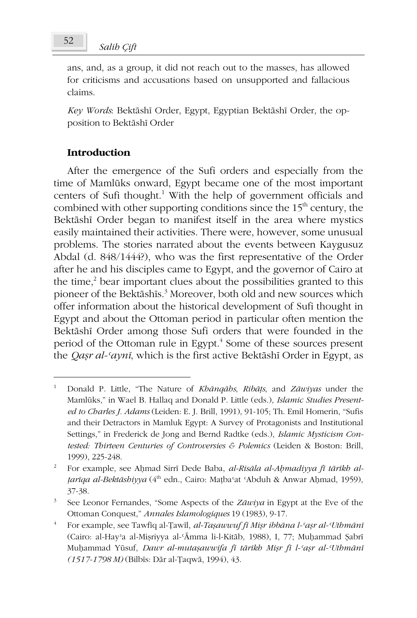ans, and, as a group, it did not reach out to the masses, has allowed for criticisms and accusations based on unsupported and fallacious claims.

*Key Words*: Bektāshī Order, Egypt, Egyptian Bektāshī Order, the opposition to Bektāshī Order

## **Introduction**

After the emergence of the Sufi orders and especially from the time of Mamláks onward, Egypt became one of the most important centers of Sufi thought.<sup>1</sup> With the help of government officials and combined with other supporting conditions since the  $15<sup>th</sup>$  century, the Bektāshī Order began to manifest itself in the area where mystics easily maintained their activities. There were, however, some unusual problems. The stories narrated about the events between Kaygusuz Abdal (d. 848/1444?), who was the first representative of the Order after he and his disciples came to Egypt, and the governor of Cairo at the time, $<sup>2</sup>$  bear important clues about the possibilities granted to this</sup> pioneer of the Bektāshīs.<sup>3</sup> Moreover, both old and new sources which offer information about the historical development of Sufi thought in Egypt and about the Ottoman period in particular often mention the Bektāshī Order among those Sufi orders that were founded in the period of the Ottoman rule in Egypt.<sup>4</sup> Some of these sources present the *Oasr al-'aynī*, which is the first active Bektāshī Order in Egypt, as

<sup>1</sup> Donald P. Little, "The Nature of *Khānqāhs*, *Ribāțs*, and *Zāwiyas* under the Mamláks," in Wael B. Hallaq and Donald P. Little (eds.), *Islamic Studies Presented to Charles J. Adams* (Leiden: E. J. Brill, 1991), 91-105; Th. Emil Homerin, "Sufis and their Detractors in Mamluk Egypt: A Survey of Protagonists and Institutional Settings," in Frederick de Jong and Bernd Radtke (eds.), *Islamic Mysticism Contested: Thirteen Centuries of Controversies & Polemics* (Leiden & Boston: Brill, 1999), 225-248.

<sup>2</sup> For example, see Ahmad Sirrī Dede Baba, *al-Risāla al-Ahmadiyya fī tārīkh al-<i>tarīqa al-Bektāshiyya* (4<sup>th</sup> edn., Cairo: Maṭbaʿat ʿAbduh & Anwar Aḥmad, 1959), 37-38.

<sup>3</sup> See Leonor Fernandes, "Some Aspects of the *Zāwiya* in Egypt at the Eve of the Ottoman Conquest," *Annales Islamologiques* 19 (1983), 9-17.

<sup>4</sup> For example, see Tawfiq al-Țawīl, *al-Tașawwuf fī Mișr ibbāna l-'așr al-Uthmānī* (Cairo: al-Hay<sup>2</sup>a al-Mișriyya al-'Āmma li-l-Kitāb, 1988), I, 77; Muḥammad Şabrī Muḥammad Yūsuf, *Dawr al-mutaṣawwifa fī tārīkh Miṣr fī l-'aṣr al-'Uthmānī (1517-1798 M) (Bilbīs: Dār al-*Țaqwā, 1994), 43.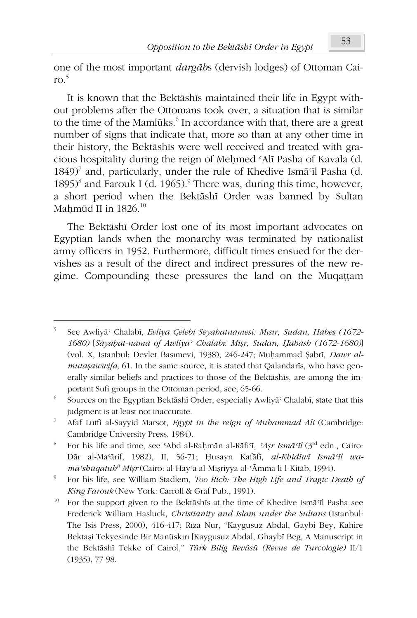one of the most important *dargÃh*s (dervish lodges) of Ottoman Cai- $\mathrm{ro}^5$ 

It is known that the Bektāshīs maintained their life in Egypt without problems after the Ottomans took over, a situation that is similar to the time of the Mamlūks.<sup>6</sup> In accordance with that, there are a great number of signs that indicate that, more so than at any other time in their history, the Bektāshīs were well received and treated with gracious hospitality during the reign of Mehmed 'Alī Pasha of Kavala (d. 1849)<sup>7</sup> and, particularly, under the rule of Khedive Ismā<sup>q</sup>l Pasha (d. 1895)<sup>8</sup> and Farouk I (d. 1965).<sup>9</sup> There was, during this time, however, a short period when the Bektāshī Order was banned by Sultan Mahmūd II in  $1826$ .<sup>10</sup>

The Bektāshī Order lost one of its most important advocates on Egyptian lands when the monarchy was terminated by nationalist army officers in 1952. Furthermore, difficult times ensued for the dervishes as a result of the direct and indirect pressures of the new regime. Compounding these pressures the land on the Muqattam

<sup>5</sup> See Awliyā<sup>,</sup> Chalabī, *Evliya Çelebi Seyahatnamesi: Mısır, Sudan, Habeş (1672-1680)* [*SayÃĜat-nÃma of AwliyÃý ChalabÑ*: *MiĮr, SáGÃn, ěabash (1672-1680)*] (vol. X, Istanbul: Devlet Basımevi, 1938), 246-247; Muhammad Şabrī, *Dawr almutașawwifa*, 61. In the same source, it is stated that Qalandarīs, who have generally similar beliefs and practices to those of the Bektāshīs, are among the important Sufi groups in the Ottoman period, see, 65-66.

<sup>6</sup> Sources on the Egyptian Bektāshī Order, especially Awliyā<sup>3</sup> Chalabī, state that this judgment is at least not inaccurate.

<sup>7</sup> Afaf Lutfi al-Sayyid Marsot, *Egypt in the reign of Muhammad Ali* (Cambridge: Cambridge University Press, 1984).

<sup>8</sup> For his life and time, see 'Abd al-Raḥmān al-Rāfiʿī, '*Aṣr Ismāʿīl* (3<sup>rd</sup> edn., Cairo: Dār al-Maʿārif, 1982), II, 56-71; Husayn Kafāfī, *al-Khidīwī Ismā*<sup>*cīl wa-*</sup> *maþsháqatuh<sup>á</sup> MiĮr* (Cairo: al-Hayýa al-MiĮriyya al-þÂmma li-l-KitÃb, 1994).

<sup>9</sup> For his life, see William Stadiem, *Too Rich: The High Life and Tragic Death of King Farouk* (New York: Carroll & Graf Pub., 1991).

<sup>&</sup>lt;sup>10</sup> For the support given to the Bektāshīs at the time of Khedive Ismā $\tilde{a}$ I Pasha see Frederick William Hasluck, *Christianity and Islam under the Sultans* (Istanbul: The Isis Press, 2000), 416-417; Riza Nur, "Kaygusuz Abdal, Gaybi Bey, Kahire Bektaşi Tekyesinde Bir Manüskırı [Kaygusuz Abdal, Ghaybī Beg, A Manuscript in the Bektāshī Tekke of Cairol," *Türk Bilig Revüsü (Revue de Turcologie)* II/1 (1935), 77-98.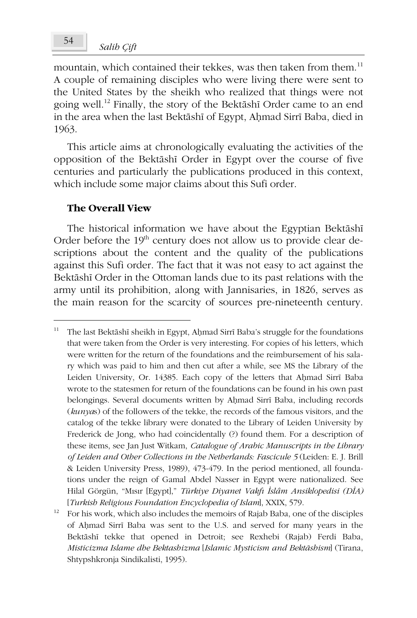mountain, which contained their tekkes, was then taken from them.<sup>11</sup> A couple of remaining disciples who were living there were sent to the United States by the sheikh who realized that things were not going well.<sup>12</sup> Finally, the story of the Bektāshī Order came to an end in the area when the last Bektāshī of Egypt, Aḥmad Sirrī Baba, died in 1963.

This article aims at chronologically evaluating the activities of the opposition of the Bektāshī Order in Egypt over the course of five centuries and particularly the publications produced in this context, which include some major claims about this Sufi order.

### **The Overall View**

The historical information we have about the Egyptian Bektāshī Order before the  $19<sup>th</sup>$  century does not allow us to provide clear descriptions about the content and the quality of the publications against this Sufi order. The fact that it was not easy to act against the Bektāshī Order in the Ottoman lands due to its past relations with the army until its prohibition, along with Jannisaries, in 1826, serves as the main reason for the scarcity of sources pre-nineteenth century.

 $\overline{a}$ 

The last Bektāshī sheikh in Egypt, Aḥmad Sirrī Baba's struggle for the foundations that were taken from the Order is very interesting. For copies of his letters, which were written for the return of the foundations and the reimbursement of his salary which was paid to him and then cut after a while, see MS the Library of the Leiden University, Or. 14385. Each copy of the letters that Aḥmad Sirrī Baba wrote to the statesmen for return of the foundations can be found in his own past belongings. Several documents written by Aḥmad Sirrī Baba, including records (*kunya*s) of the followers of the tekke, the records of the famous visitors, and the catalog of the tekke library were donated to the Library of Leiden University by Frederick de Jong, who had coincidentally (?) found them. For a description of these items, see Jan Just Witkam, *Catalogue of Arabic Manuscripts in the Library of Leiden and Other Collections in the Netherlands: Fascicule 5* (Leiden: E. J. Brill & Leiden University Press, 1989), 473-479. In the period mentioned, all foundations under the reign of Gamal Abdel Nasser in Egypt were nationalized. See Hilal Görgün, "Mısır [Egypt]," *Türkiye Diyanet Vakfı İslâm Ansiklopedisi (DİA)* [*Turkish Religious Foundation Encyclopedia of Islam*], XXIX, 579.

<sup>&</sup>lt;sup>12</sup> For his work, which also includes the memoirs of Rajab Baba, one of the disciples of Aḥmad Sirrī Baba was sent to the U.S. and served for many years in the Bektāshī tekke that opened in Detroit; see Rexhebi (Rajab) Ferdi Baba, *Misticizma Islame dhe Bektashizma* [*Islamic Mysticism and BektÃshism*] (Tirana, Shtypshkronja Sindikalisti, 1995).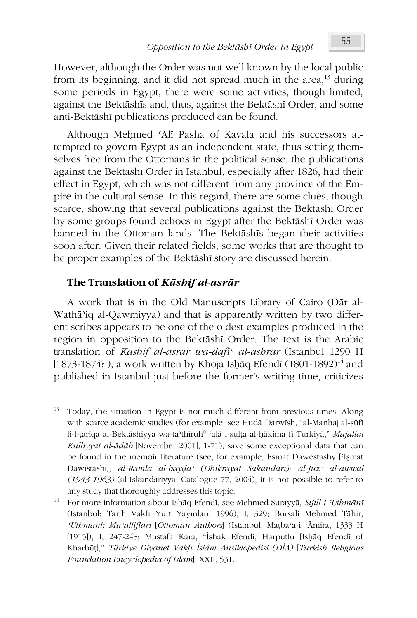However, although the Order was not well known by the local public from its beginning, and it did not spread much in the area, $13$  during some periods in Egypt, there were some activities, though limited, against the Bektāshīs and, thus, against the Bektāshī Order, and some anti-Bektāshī publications produced can be found.

Although Mehmed 'Alī Pasha of Kavala and his successors attempted to govern Egypt as an independent state, thus setting themselves free from the Ottomans in the political sense, the publications against the Bektāshī Order in Istanbul, especially after 1826, had their effect in Egypt, which was not different from any province of the Empire in the cultural sense. In this regard, there are some clues, though scarce, showing that several publications against the Bektāshī Order by some groups found echoes in Egypt after the Bektāshī Order was banned in the Ottoman lands. The Bektāshīs began their activities soon after. Given their related fields, some works that are thought to be proper examples of the Bektāshī story are discussed herein.

### **The Translation of** *.Ãshif al-asrÃr*

<u>.</u>

A work that is in the Old Manuscripts Library of Cairo (DÃr al-Wathā'iq al-Qawmiyya) and that is apparently written by two different scribes appears to be one of the oldest examples produced in the region in opposition to the Bektāshī Order. The text is the Arabic translation of *Kāshif al-asrār wa-dāfi<sup>c</sup> al-ashrār* (Istanbul 1290 H [1873-1874?]), a work written by Khoja Isḥāq Efendī (1801-1892)<sup>14</sup> and published in Istanbul just before the former's writing time, criticizes

 $13$  Today, the situation in Egypt is not much different from previous times. Along with scarce academic studies (for example, see Hudā Darwīsh, "al-Manhaj al-șūfī li-l-ṭarīqa al-Bektāshiyya wa-taʾthīruh<sup>ū ‹</sup>alā l-sulṭa al-ḥākima fī Turkiyā," *Majallat Kulliyyat al-ÃGÃb* [November 2001], 1-71), save some exceptional data that can be found in the memoir literature (see, for example, Esmat Dawestashy [*Ismat*  $D\bar{a}$ wistāshī], *al-Ramla al-bayḍā<sup>,</sup> (Dhikrayāt Sakandarī): al-Juz<sup><i>, al-awwal*</sup> *(1943-1963)* (al-Iskandariyya: Catalogue 77, 2004), it is not possible to refer to any study that thoroughly addresses this topic.

<sup>&</sup>lt;sup>14</sup> For more information about Isḥāq Efendī, see Meḥmed Surayyā, *Sijill-i <sup><i>Uthmānī*</sup> (Istanbul: Tarih Vakfı Yurt Yayınları, 1996), I, 329; Bursali Mehmed Țāhir, *þUthmÃnlÑ Muýalliflari* [*Ottoman Authors*] (Istanbul: Maİbaþa-i þÂmira, 1333 H [1915]), I, 247-248; Mustafa Kara, "İshak Efendi, Harputlu [Ishāq Efendi of Kharbūţļ," Türkiye Diyanet Vakfı İslâm Ansiklopedisi (DİA) [Turkish Religious *Foundation Encyclopedia of Islam*]*,* XXII, 531.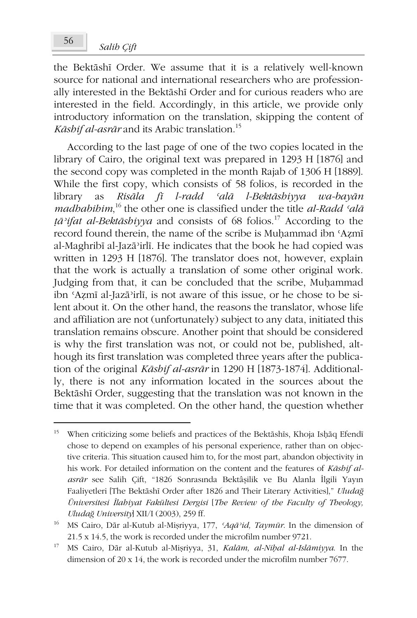the Bektāshī Order. We assume that it is a relatively well-known source for national and international researchers who are professionally interested in the Bektāshī Order and for curious readers who are interested in the field. Accordingly, in this article, we provide only introductory information on the translation, skipping the content of *.Ãshif al-asrÃr* and its Arabic translation.<sup>15</sup>

According to the last page of one of the two copies located in the library of Cairo, the original text was prepared in 1293 H [1876] and the second copy was completed in the month Rajab of 1306 H [1889]. While the first copy, which consists of 58 folios, is recorded in the library as *RisÃla fÑ l-radd þalÃ l-BektÃshiyya wa-bayÃn madhabihim*<sup>16</sup> the other one is classified under the title *al-Radd <sup><i>cal*</sup>*Ã İÃýifat al-BektÃshiyya* and consists of 68 folios.<sup>17</sup> According to the record found therein, the name of the scribe is Muhammad ibn 'Azmī al-Maghribī al-Jazā'irlī. He indicates that the book he had copied was written in 1293 H [1876]. The translator does not, however, explain that the work is actually a translation of some other original work. Judging from that, it can be concluded that the scribe, Muhammad ibn 'Azmī al-Jazā'irlī, is not aware of this issue, or he chose to be silent about it. On the other hand, the reasons the translator, whose life and affiliation are not (unfortunately) subject to any data, initiated this translation remains obscure. Another point that should be considered is why the first translation was not, or could not be, published, although its first translation was completed three years after the publication of the original *Kāshif al-asrār* in 1290 H [1873-1874]. Additionally, there is not any information located in the sources about the Bektāshī Order, suggesting that the translation was not known in the time that it was completed. On the other hand, the question whether

<sup>&</sup>lt;sup>15</sup> When criticizing some beliefs and practices of the Bektāshīs, Khoja Isḥāq Efendī chose to depend on examples of his personal experience, rather than on objective criteria. This situation caused him to, for the most part, abandon objectivity in his work. For detailed information on the content and the features of *Kāshif alasrār* see Salih Çift, "1826 Sonrasında Bektâşilik ve Bu Alanla İlgili Yayın Faaliyetleri [The Bektāshī Order after 1826 and Their Literary Activities]," *Uluda*ğ *Üniversitesi İlahiyat Fakültesi Dergisi* [*The Review of the Faculty of Theology*, *UludaÍ University*] XII/I (2003), 259 ff.

<sup>&</sup>lt;sup>16</sup> MS Cairo, Dār al-Kutub al-Mișriyya, 177, *<sup><i>Aq*a id, Taymūr. In the dimension of</sup> 21.5 x 14.5, the work is recorded under the microfilm number 9721.

<sup>&</sup>lt;sup>17</sup> MS Cairo, Dār al-Kutub al-Mișriyya, 31, *Kalām, al-Niḥal al-Islāmiyya*. In the dimension of 20 x 14, the work is recorded under the microfilm number 7677.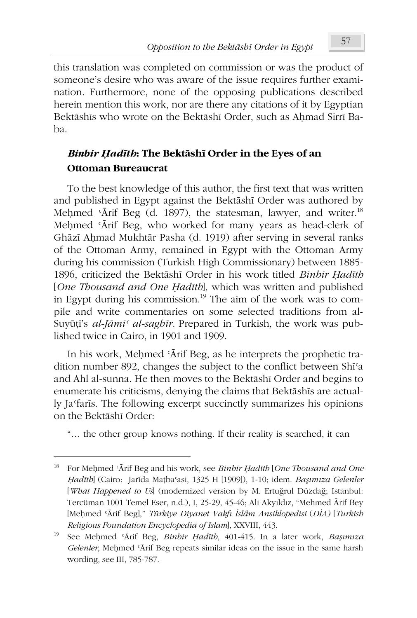this translation was completed on commission or was the product of someone's desire who was aware of the issue requires further examination. Furthermore, none of the opposing publications described herein mention this work, nor are there any citations of it by Egyptian Bektāshīs who wrote on the Bektāshī Order, such as Ahmad Sirrī Baba.

# *Binbir ěadÑth***: The BektÃshÑ Order in the Eyes of an Ottoman Bureaucrat**

To the best knowledge of this author, the first text that was written and published in Egypt against the Bektāshī Order was authored by Mehmed  $\overline{A}$ rif Beg (d. 1897), the statesman, lawyer, and writer.<sup>18</sup> Mehmed 'Ārif Beg, who worked for many years as head-clerk of Ghāzī Ahmad Mukhtār Pasha (d. 1919) after serving in several ranks of the Ottoman Army, remained in Egypt with the Ottoman Army during his commission (Turkish High Commissionary) between 1885- 1896, criticized the Bektāshī Order in his work titled *Binbir Hadīth* [*One Thousand and One ěadÑth*]*,* which was written and published in Egypt during his commission.<sup>19</sup> The aim of the work was to compile and write commentaries on some selected traditions from al-Suyūți's *al-Jāmi<sup>c</sup> al-saghīr*. Prepared in Turkish, the work was published twice in Cairo, in 1901 and 1909.

In his work, Mehmed 'Ārif Beg, as he interprets the prophetic tradition number 892, changes the subject to the conflict between Shī'a and Ahl al-sunna. He then moves to the Bektāshī Order and begins to enumerate his criticisms, denying the claims that Bektāshīs are actually Jafaris. The following excerpt succinctly summarizes his opinions on the Bektāshī Order:

"… the other group knows nothing. If their reality is searched, it can

<sup>&</sup>lt;sup>18</sup> For Mehmed 'Ārif Beg and his work, see *Binbir Hadīth* [One Thousand and One *Hadīth*] (Cairo: Jarīda Matba'asi, 1325 H [1909]), 1-10; idem. *Basımıza Gelenler* [*What Happened to Us*] (modernized version by M. Ertuğrul Düzdağ; Istanbul: Tercüman 1001 Temel Eser, n.d.), I, 25-29, 45-46; Ali Akyıldız, "Mehmed Ârif Bey [MeĜmed þÂrif Beg]," *Türkiye Diyanet VakfÕ Ôslâm Ansiklopedisi* (*'ÔA)* [*Turkish Religious Foundation Encyclopedia of Islam*]*,* XXVIII, 443.

<sup>&</sup>lt;sup>19</sup> See Mehmed 'Ārif Beg, *Binbir Hadīth*, 401-415. In a later work, *Başımıza* Gelenler, Mehmed 'Ārif Beg repeats similar ideas on the issue in the same harsh wording, see III, 785-787.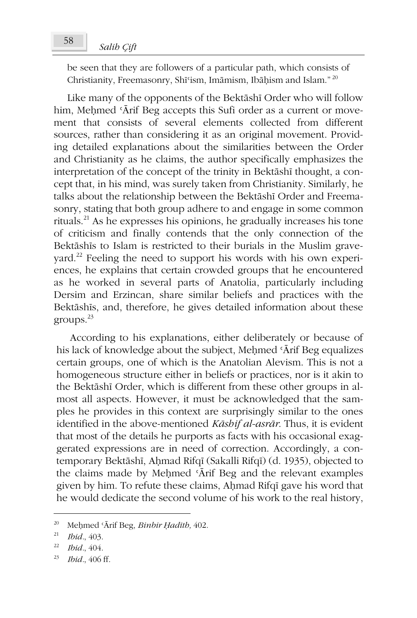be seen that they are followers of a particular path, which consists of Christianity, Freemasonry, Shī<sup>c</sup>ism, Imāmism, Ibāḥism and Islam."<sup>20</sup>

Like many of the opponents of the Bektāshī Order who will follow him, Mehmed 'Ārif Beg accepts this Sufi order as a current or movement that consists of several elements collected from different sources, rather than considering it as an original movement. Providing detailed explanations about the similarities between the Order and Christianity as he claims, the author specifically emphasizes the interpretation of the concept of the trinity in Bektāshī thought, a concept that, in his mind, was surely taken from Christianity. Similarly, he talks about the relationship between the Bektāshī Order and Freemasonry, stating that both group adhere to and engage in some common rituals.<sup>21</sup> As he expresses his opinions, he gradually increases his tone of criticism and finally contends that the only connection of the Bektāshīs to Islam is restricted to their burials in the Muslim graveyard.<sup>22</sup> Feeling the need to support his words with his own experiences, he explains that certain crowded groups that he encountered as he worked in several parts of Anatolia, particularly including Dersim and Erzincan, share similar beliefs and practices with the Bektāshīs, and, therefore, he gives detailed information about these groups. $^{23}$ 

According to his explanations, either deliberately or because of his lack of knowledge about the subject, Mehmed 'Ārif Beg equalizes certain groups, one of which is the Anatolian Alevism. This is not a homogeneous structure either in beliefs or practices, nor is it akin to the Bektāshī Order, which is different from these other groups in almost all aspects. However, it must be acknowledged that the samples he provides in this context are surprisingly similar to the ones identified in the above-mentioned *Kāshif al-asrār*. Thus, it is evident that most of the details he purports as facts with his occasional exaggerated expressions are in need of correction. Accordingly, a contemporary Bektāshī, Aḥmad Rifqī (Sakalli Rifqī) (d. 1935), objected to the claims made by Mehmed 'Arif Beg and the relevant examples given by him. To refute these claims, Aḥmad Rifqī gave his word that he would dedicate the second volume of his work to the real history,

<sup>&</sup>lt;sup>20</sup> Mehmed 'Ārif Beg, *Binbir Hadīth*, <sup>402.</sup>

<sup>21</sup> *Ibid.*, 403.

<sup>22</sup> *Ibid.*, 404.

<sup>23</sup> *Ibid.*, 406 ff.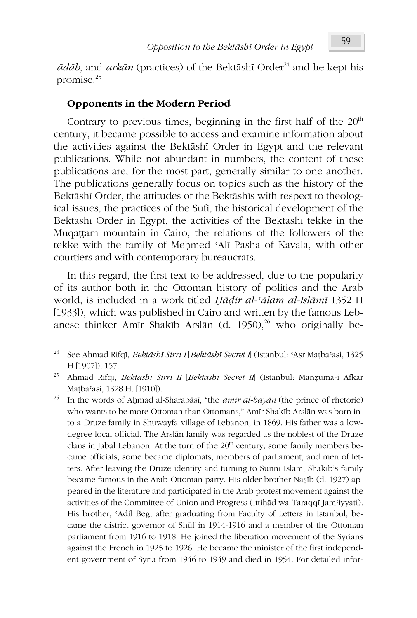$\bar{a}d\bar{a}b$ , and  $\bar{a}r\bar{k}\bar{a}n$  (practices) of the Bektāshī Order<sup>24</sup> and he kept his promise.<sup>25</sup>

## **Opponents in the Modern Period**

<u>.</u>

Contrary to previous times, beginning in the first half of the  $20<sup>th</sup>$ century, it became possible to access and examine information about the activities against the Bektāshī Order in Egypt and the relevant publications. While not abundant in numbers, the content of these publications are, for the most part, generally similar to one another. The publications generally focus on topics such as the history of the Bektāshī Order, the attitudes of the Bektāshīs with respect to theological issues, the practices of the Sufi, the historical development of the Bektāshī Order in Egypt, the activities of the Bektāshī tekke in the Muqattam mountain in Cairo, the relations of the followers of the tekke with the family of Mehmed 'Alī Pasha of Kavala, with other courtiers and with contemporary bureaucrats.

In this regard, the first text to be addressed, due to the popularity of its author both in the Ottoman history of politics and the Arab world, is included in a work titled *Hādir al-*<sup>*{alam al-Islāmī* 1352 H</sup> [1933]), which was published in Cairo and written by the famous Lebanese thinker Amīr Shakīb Arslān (d. 1950),<sup>26</sup> who originally be-

<sup>&</sup>lt;sup>24</sup> See Aḥmad Rifqī, *Bektāshī Sirri I* [*Bektāshī Secret I*] (Istanbul: ʿAṣr Maṭbaʿasi, 1325 H [1907]), 157.

<sup>&</sup>lt;sup>25</sup> Aḥmad Rifqī, *Bektāshī Sirri II [Bektāshī Secret II*] (Istanbul: Manzūma-i Afkār Matba'asi, 1328 H. [1910]).

<sup>&</sup>lt;sup>26</sup> In the words of Aḥmad al-Sharabāsī, "the *amīr al-bayān* (the prince of rhetoric) who wants to be more Ottoman than Ottomans," Amīr Shakīb Arslān was born into a Druze family in Shuwayfa village of Lebanon, in 1869. His father was a lowdegree local official. The Arslān family was regarded as the noblest of the Druze clans in Jabal Lebanon. At the turn of the  $20<sup>th</sup>$  century, some family members became officials, some became diplomats, members of parliament, and men of letters. After leaving the Druze identity and turning to Sunnī Islam, Shakīb's family became famous in the Arab-Ottoman party. His older brother Nașīb (d. 1927) appeared in the literature and participated in the Arab protest movement against the activities of the Committee of Union and Progress (Ittihad wa-Taraqqī Jam'iyyati). His brother, 'Ādil Beg, after graduating from Faculty of Letters in Istanbul, became the district governor of Shūf in 1914-1916 and a member of the Ottoman parliament from 1916 to 1918. He joined the liberation movement of the Syrians against the French in 1925 to 1926. He became the minister of the first independent government of Syria from 1946 to 1949 and died in 1954. For detailed infor-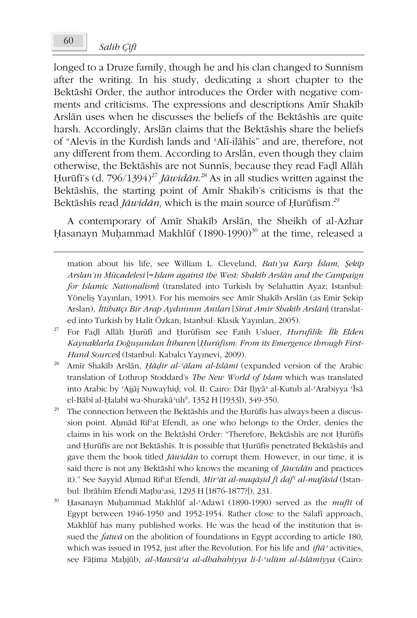longed to a Druze family, though he and his clan changed to Sunnism after the writing. In his study, dedicating a short chapter to the Bektāshī Order, the author introduces the Order with negative comments and criticisms. The expressions and descriptions Amīr Shakīb Arslān uses when he discusses the beliefs of the Bektāshīs are quite harsh. Accordingly, Arslãn claims that the Bektãshīs share the beliefs of "Alevis in the Kurdish lands and 'Alī-ilāhīs" and are, therefore, not any different from them. According to Arslān, even though they claim otherwise, the Bektāshīs are not Sunnīs, because they read Fadl Allāh Hurūfi's (d. 796/1394)<sup>27</sup> *Jāwidān*.<sup>28</sup> As in all studies written against the Bektāshīs, the starting point of Amīr Shakīb's criticisms is that the Bektāshīs read *Jāwidān*, which is the main source of Hurūfism.<sup>29</sup>

A contemporary of Amīr Shakīb Arslān, the Sheikh of al-Azhar Hasanayn Muhammad Makhlūf (1890-1990)<sup>30</sup> at the time, released a

mation about his life, see William L. Cleveland, *Batı'ya Karşı İslam, Şekip Arslan'Õn Mücadelesi* [=*Islam against the West: ShakÑb ArslÃn and the Campaign for Islamic Nationalism*] (translated into Turkish by Selahattin Ayaz; Istanbul: Yöneliş Yayınları, 1991). For his memoirs see Amīr Shakīb Arslān (as Emir Şekip Arslan), *ÔttihatçÕ Bir Arap AydÕQÕQÕn AnÕlarÕ* [*6Ñrat AmÑr ShakÑb ArslÃn*] (translated into Turkish by Halit Özkan; Istanbul: Klasik Yayınları, 2005).

- <sup>27</sup> For Faḍl Allāh Ḥurūfī and Ḥurūfism see Fatih Usluer, *Hurufilik: İlk Elden* Kaynaklarla Doğuşundan İtibaren [Hurūfism: From its Emergence through First-Hand Sources] (Istanbul: Kabalcı Yayınevi, 2009).
- <sup>28</sup> Amīr Shakīb Arslān, *Ḥāḍir al-ʿālam al-Islāmī* (expanded version of the Arabic translation of Lothrop Stoddard's *The New World of Islam* which was translated into Arabic by 'Ajjāj Nuwayhiḍ; vol. II: Cairo: Dār Iḥyā' al-Kutub al-'Arabiyya 'Īsā el-Bābī al-Ḥalabī wa-Shurakāʾuhʰ, 1352 H [1933]), 349-350.
- <sup>29</sup> The connection between the Bektāshīs and the Ḥurūfīs has always been a discussion point. Aḥmād Rif<sup>c</sup>at Efendī, as one who belongs to the Order, denies the claims in his work on the Bektāshī Order: "Therefore, Bektāshīs are not Hurūfis and Hurūfis are not Bektāshīs. It is possible that Hurūfis penetrated Bektāshīs and gave them the book titled *Jāwidān* to corrupt them. However, in our time, it is said there is not any Bektāshī who knows the meaning of *Jāwidān* and practices it)." See Sayyid Aḥmad Rif'at Efendī, *Mir'āt al-maqāṣid fī daf<sup>{</sup> al-mafāsid* (Istanbul: Ibrāhīm Efendī Matba<sup>c</sup>asi, 1293 H [1876-1877?]), 231.
- Hasanayn Muhammad Makhlūf al-'Adawī (1890-1990) served as the *muftī* of Egypt between 1946-1950 and 1952-1954. Rather close to the Salafi approach, Makhláf has many published works. He was the head of the institution that issued the *fatwÃ* on the abolition of foundations in Egypt according to article 180, which was issued in 1952, just after the Revolution. For his life and *iftÃý* activities, see Fāțima Maḥjūb, *al-Mawsū'a al-dhahabiyya li-l-'ulūm al-Islāmiyya* (Cairo: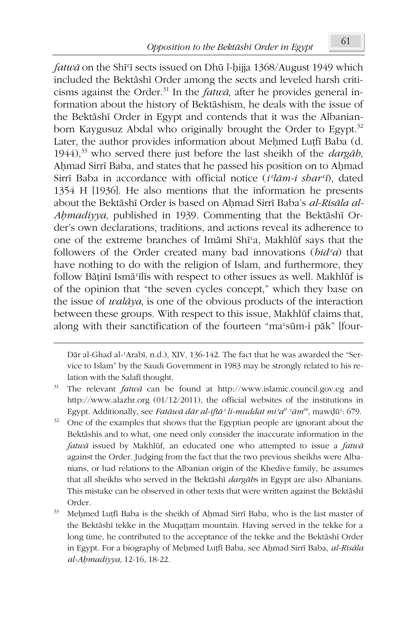*fatwā* on the Shī<sup>q</sup> sects issued on Dhū l-hijja 1368/August 1949 which included the Bektāshī Order among the sects and leveled harsh criticisms against the Order.<sup>31</sup> In the *fatwÃ*, after he provides general information about the history of Bektāshism, he deals with the issue of the Bektāshī Order in Egypt and contends that it was the Albanianborn Kaygusuz Abdal who originally brought the Order to Egypt.<sup>32</sup> Later, the author provides information about Mehmed Lutfi Baba (d. 1944),<sup>33</sup> who served there just before the last sheikh of the *dargÃh*, Ahmad Sirrī Baba, and states that he passed his position on to Ahmad Sirrī Baba in accordance with official notice (*i*<sup>*lām-i shar*<sup>*f*</sup>), dated</sup> 1354 H [1936]. He also mentions that the information he presents about the Bektāshī Order is based on Ahmad Sirrī Baba's *al-Risāla al-Aḥmadiyya*, published in 1939. Commenting that the Bektāshī Order's own declarations, traditions, and actions reveal its adherence to one of the extreme branches of Imāmī Shī<sup>c</sup>a, Makhlūf says that the followers of the Order created many bad innovations (*bidþa*) that have nothing to do with the religion of Islam, and furthermore, they follow Bāṭinī Ismāʿīlīs with respect to other issues as well. Makhlūf is of the opinion that "the seven cycles concept," which they base on the issue of *walÃya*, is one of the obvious products of the interaction between these groups. With respect to this issue, Makhláf claims that, along with their sanctification of the fourteen "ma'sūm-i pāk" [four-

Dār al-Ghad al-ʿArabī, n.d.), XIV, 136-142. The fact that he was awarded the "Service to Islam" by the Saudi Government in 1983 may be strongly related to his relation with the Salafi thought.

- <sup>31</sup> The relevant *fatwÃ* can be found at http://www.islamic.council.gov.eg and http://www.alazhr.org (01/12/2011), the official websites of the institutions in Egypt. Additionally, see *FatÃZÃ dÃr al-iftÃý li-muddat miýa tiþÃmin ,* mawĒáþ: 679.
- $32$  One of the examples that shows that the Egyptian people are ignorant about the Bektāshīs and to what, one need only consider the inaccurate information in the *fatwÃ* issued by Makhláf, an educated one who attempted to issue a *fatwÃ* against the Order. Judging from the fact that the two previous sheikhs were Albanians, or had relations to the Albanian origin of the Khedive family, he assumes that all sheikhs who served in the Bektāshī *dargābs* in Egypt are also Albanians. This mistake can be observed in other texts that were written against the Bektāshī Order.
- $33$  Mehmed Lutfi Baba is the sheikh of Ahmad Sirrī Baba, who is the last master of the Bektāshī tekke in the Muqaṭṭam mountain. Having served in the tekke for a long time, he contributed to the acceptance of the tekke and the Bektāshī Order in Egypt. For a biography of Mehmed Luṭfī Baba, see Aḥmad Sirrī Baba, *al-Risāla al-AĜmadiyya,* 12-16, 18-22.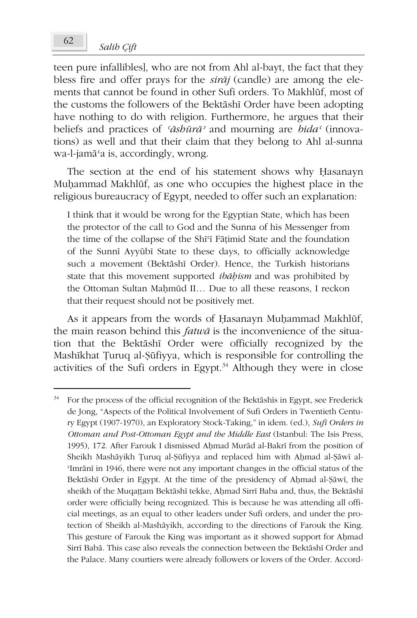teen pure infallibles], who are not from Ahl al-bayt, the fact that they bless fire and offer prays for the *sirÃj* (candle) are among the elements that cannot be found in other Sufi orders. To Makhláf, most of the customs the followers of the Bektāshī Order have been adopting have nothing to do with religion. Furthermore, he argues that their beliefs and practices of *'āshūrā'* and mourning are *bida*<sup>*c*</sup> (innovations) as well and that their claim that they belong to Ahl al-sunna wa-l-jamā'a is, accordingly, wrong.

The section at the end of his statement shows why Hasanayn Muḥammad Makhlūf, as one who occupies the highest place in the religious bureaucracy of Egypt, needed to offer such an explanation:

I think that it would be wrong for the Egyptian State, which has been the protector of the call to God and the Sunna of his Messenger from the time of the collapse of the Shī<sup>q</sup> Fāțimid State and the foundation of the Sunnī Ayyūbī State to these days, to officially acknowledge such a movement (Bektāshī Order). Hence, the Turkish historians state that this movement supported *ib* $\overline{a}$ *bism* and was prohibited by the Ottoman Sultan Maḥmūd II... Due to all these reasons, I reckon that their request should not be positively met.

As it appears from the words of Hasanayn Muhammad Makhlūf, the main reason behind this *fatwÃ* is the inconvenience of the situation that the Bektāshī Order were officially recognized by the Mashīkhat Ţuruq al-Şūfiyya, which is responsible for controlling the activities of the Sufi orders in Egypt. $34$  Although they were in close

 $34$  For the process of the official recognition of the Bektāshīs in Egypt, see Frederick de Jong, "Aspects of the Political Involvement of Sufi Orders in Twentieth Century Egypt (1907-1970), an Exploratory Stock-Taking," in idem. (ed.), *Sufi Orders in Ottoman and Post-Ottoman Egypt and the Middle East* (Istanbul: The Isis Press, 1995), 172. After Farouk I dismissed Ahmad Murād al-Bakrī from the position of Sheikh Mashāyikh Țuruq al-Şūfiyya and replaced him with Ahmad al-Şāwī al-Imrānī in 1946, there were not any important changes in the official status of the Bektāshī Order in Egypt. At the time of the presidency of Ahmad al-Şāwī, the sheikh of the Muqaṭṭam Bektāshī tekke, Aḥmad Sirrī Baba and, thus, the Bektāshī order were officially being recognized. This is because he was attending all official meetings, as an equal to other leaders under Sufi orders, and under the protection of Sheikh al-Mashāyikh, according to the directions of Farouk the King. This gesture of Farouk the King was important as it showed support for Ahmad Sirrī Babā. This case also reveals the connection between the Bektāshī Order and the Palace. Many courtiers were already followers or lovers of the Order. Accord-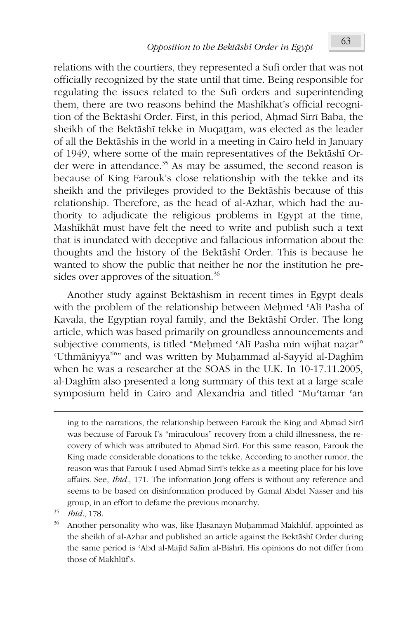relations with the courtiers, they represented a Sufi order that was not officially recognized by the state until that time. Being responsible for regulating the issues related to the Sufi orders and superintending them, there are two reasons behind the Mashikhat's official recognition of the Bektāshī Order. First, in this period, Ahmad Sirrī Baba, the sheikh of the Bektāshī tekke in Muqattam, was elected as the leader of all the Bektāshīs in the world in a meeting in Cairo held in January of 1949, where some of the main representatives of the Bektāshī Order were in attendance.<sup>35</sup> As may be assumed, the second reason is because of King Farouk's close relationship with the tekke and its sheikh and the privileges provided to the Bektāshīs because of this relationship. Therefore, as the head of al-Azhar, which had the authority to adjudicate the religious problems in Egypt at the time, Mashīkhāt must have felt the need to write and publish such a text that is inundated with deceptive and fallacious information about the thoughts and the history of the Bektāshī Order. This is because he wanted to show the public that neither he nor the institution he presides over approves of the situation.<sup>36</sup>

Another study against Bektāshism in recent times in Egypt deals with the problem of the relationship between Mehmed 'Alī Pasha of Kavala, the Egyptian royal family, and the Bektāshī Order. The long article, which was based primarily on groundless announcements and subjective comments, is titled "Mehmed 'Alī Pasha min wijhat nazar<sup>in</sup> 'Uthmāniyya<sup>tin</sup>" and was written by Muḥammad al-Sayyid al-Daghīm when he was a researcher at the SOAS in the U.K. In 10-17.11.2005, al-Daghīm also presented a long summary of this text at a large scale symposium held in Cairo and Alexandria and titled "Mu'tamar 'an

ing to the narrations, the relationship between Farouk the King and Ahmad Sirrī was because of Farouk I's "miraculous" recovery from a child illnessness, the recovery of which was attributed to Ahmad Sirrī. For this same reason, Farouk the King made considerable donations to the tekke. According to another rumor, the reason was that Farouk I used Ahmad Sirrī's tekke as a meeting place for his love affairs. See, *Ibid.*, 171. The information Jong offers is without any reference and seems to be based on disinformation produced by Gamal Abdel Nasser and his group, in an effort to defame the previous monarchy.

<sup>35</sup> *Ibid.*, 178.

 $36$  Another personality who was, like Hasanayn Muḥammad Makhlūf, appointed as the sheikh of al-Azhar and published an article against the Bektāshī Order during the same period is 'Abd al-Majīd Salīm al-Bishrī. His opinions do not differ from those of Makhláf's.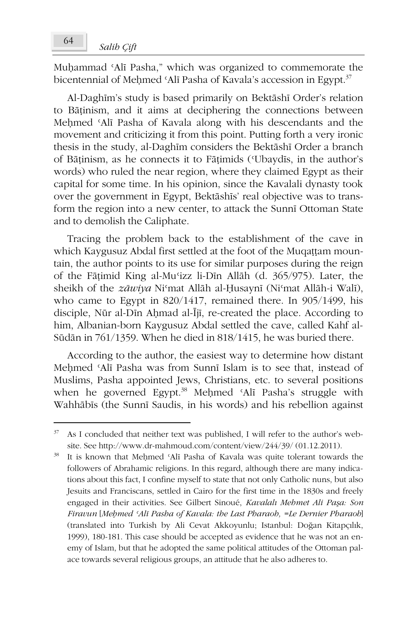Muhammad 'Alī Pasha," which was organized to commemorate the bicentennial of Mehmed 'Alī Pasha of Kavala's accession in Egypt.<sup>37</sup>

Al-Daghīm's study is based primarily on Bektāshī Order's relation to BÃİinism, and it aims at deciphering the connections between Mehmed 'Alī Pasha of Kavala along with his descendants and the movement and criticizing it from this point. Putting forth a very ironic thesis in the study, al-Daghim considers the Bektāshī Order a branch of Bāṭinism, as he connects it to Fāṭimids (Ubaydīs, in the author's words) who ruled the near region, where they claimed Egypt as their capital for some time. In his opinion, since the Kavalali dynasty took over the government in Egypt, Bektāshīs' real objective was to transform the region into a new center, to attack the Sunnī Ottoman State and to demolish the Caliphate.

Tracing the problem back to the establishment of the cave in which Kaygusuz Abdal first settled at the foot of the Muqattam mountain, the author points to its use for similar purposes during the reign of the Fāṭimid King al-Muʻizz li-Dīn Allāh (d. 365/975). Later, the sheikh of the *zāwiya* Niʻmat Allāh al-Ḥusaynī (Niʻmat Allāh-i Walī), who came to Egypt in 820/1417, remained there. In 905/1499, his disciple, Nūr al-Dīn Aḥmad al-Ījī, re-created the place. According to him, Albanian-born Kaygusuz Abdal settled the cave, called Kahf al-Sūdān in 761/1359. When he died in 818/1415, he was buried there.

According to the author, the easiest way to determine how distant Mehmed 'Alī Pasha was from Sunnī Islam is to see that, instead of Muslims, Pasha appointed Jews, Christians, etc. to several positions when he governed Egypt.<sup>38</sup> Mehmed 'Alī Pasha's struggle with Wahhābīs (the Sunnī Saudis, in his words) and his rebellion against

 $37$  As I concluded that neither text was published, I will refer to the author's website. See http://www.dr-mahmoud.com/content/view/244/39/ (01.12.2011).

<sup>&</sup>lt;sup>38</sup> It is known that Mehmed 'Alī Pasha of Kavala was quite tolerant towards the followers of Abrahamic religions. In this regard, although there are many indications about this fact, I confine myself to state that not only Catholic nuns, but also Jesuits and Franciscans, settled in Cairo for the first time in the 1830s and freely engaged in their activities. See Gilbert Sinoué, *Kavalalı Mehmet Ali Paşa: Son Firavun* [*MeĜmed þAlÑ Pasha of Kavala: the Last Pharaoh, =Le Dernier Pharaoh*] (translated into Turkish by Ali Cevat Akkoyunlu; Istanbul: Doğan Kitapçılık, 1999), 180-181. This case should be accepted as evidence that he was not an enemy of Islam, but that he adopted the same political attitudes of the Ottoman palace towards several religious groups, an attitude that he also adheres to.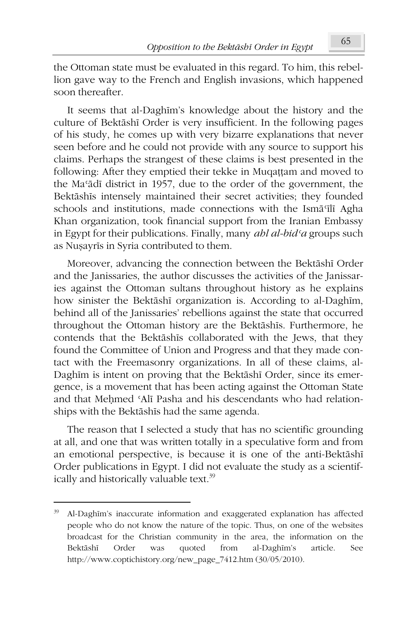the Ottoman state must be evaluated in this regard. To him, this rebellion gave way to the French and English invasions, which happened soon thereafter.

It seems that al-Daghim's knowledge about the history and the culture of Bektāshī Order is very insufficient. In the following pages of his study, he comes up with very bizarre explanations that never seen before and he could not provide with any source to support his claims. Perhaps the strangest of these claims is best presented in the following: After they emptied their tekke in Muqattam and moved to the Ma<sup>5</sup>di district in 1957, due to the order of the government, the Bektāshīs intensely maintained their secret activities; they founded schools and institutions, made connections with the Ismā II Agha Khan organization, took financial support from the Iranian Embassy in Egypt for their publications. Finally, many *abl al-bid<sup>c</sup>a* groups such as Nuşayrīs in Syria contributed to them.

Moreover, advancing the connection between the Bektāshī Order and the Janissaries, the author discusses the activities of the Janissaries against the Ottoman sultans throughout history as he explains how sinister the Bektāshī organization is. According to al-Daghīm, behind all of the Janissaries' rebellions against the state that occurred throughout the Ottoman history are the Bektāshīs. Furthermore, he contends that the Bektāshīs collaborated with the Jews, that they found the Committee of Union and Progress and that they made contact with the Freemasonry organizations. In all of these claims, al-Daghīm is intent on proving that the Bektāshī Order, since its emergence, is a movement that has been acting against the Ottoman State and that Mehmed 'Alī Pasha and his descendants who had relationships with the Bektāshīs had the same agenda.

The reason that I selected a study that has no scientific grounding at all, and one that was written totally in a speculative form and from an emotional perspective, is because it is one of the anti-Bektāshī Order publications in Egypt. I did not evaluate the study as a scientifically and historically valuable text.<sup>39</sup>

<sup>&</sup>lt;sup>39</sup> Al-Daghīm's inaccurate information and exaggerated explanation has affected people who do not know the nature of the topic. Thus, on one of the websites broadcast for the Christian community in the area, the information on the Bektāshī Order was quoted from al-Daghīm's article. See http://www.coptichistory.org/new\_page\_7412.htm (30/05/2010).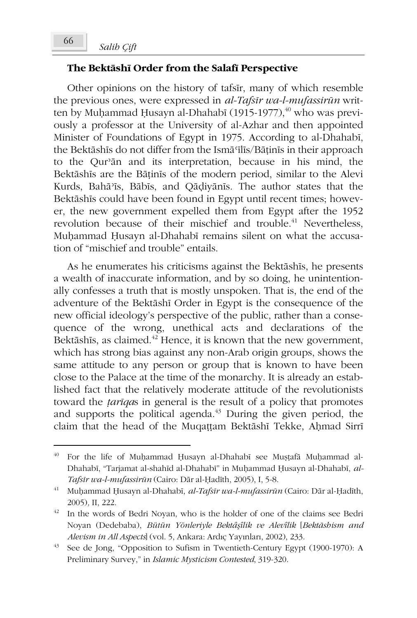### **The BektÃshÑ Order from the SalafÑ Perspective**

Other opinions on the history of tafsir, many of which resemble the previous ones, were expressed in *al-Tafsīr wa-l-mufassirūn* written by Muḥammad Ḥusayn al-Dhahabī (1915-1977), $\rm ^{40}$  who was previously a professor at the University of al-Azhar and then appointed Minister of Foundations of Egypt in 1975. According to al-Dhahabi, the Bektāshīs do not differ from the Ismā ilīs/Bāṭinīs in their approach to the Qur'an and its interpretation, because in his mind, the Bektāshīs are the Bāṭinīs of the modern period, similar to the Alevi Kurds, Bahā'is, Bābis, and Qāḍiyānis. The author states that the Bektāshīs could have been found in Egypt until recent times; however, the new government expelled them from Egypt after the 1952 revolution because of their mischief and trouble.<sup>41</sup> Nevertheless, Muhammad Husayn al-Dhahabī remains silent on what the accusation of "mischief and trouble" entails.

As he enumerates his criticisms against the Bektāshīs, he presents a wealth of inaccurate information, and by so doing, he unintentionally confesses a truth that is mostly unspoken. That is, the end of the adventure of the Bektāshī Order in Egypt is the consequence of the new official ideology's perspective of the public, rather than a consequence of the wrong, unethical acts and declarations of the Bektāshīs, as claimed. $42$  Hence, it is known that the new government, which has strong bias against any non-Arab origin groups, shows the same attitude to any person or group that is known to have been close to the Palace at the time of the monarchy. It is already an established fact that the relatively moderate attitude of the revolutionists toward the *tariqas* in general is the result of a policy that promotes and supports the political agenda.<sup>43</sup> During the given period, the claim that the head of the Muqaṭṭam Bektāshī Tekke, Aḥmad Sirrī

For the life of Muhammad Husayn al-Dhahabī see Muștafā Muhammad al-Dhahabī, "Tarjamat al-shahīd al-Dhahabī" in Muḥammad Ḥusayn al-Dhahabī, al-*TafsÑr wa-l-mufassirán* (Cairo: DÃr al-ěadÑth, 2005), I, 5-8.

<sup>&</sup>lt;sup>41</sup> Muhammad Husayn al-Dhahabī, *al-Tafsīr wa-l-mufassirūn* (Cairo: Dār al-Ḥadīth, 2005)*,* II, 222.

 $42$  In the words of Bedri Noyan, who is the holder of one of the claims see Bedri Noyan (Dedebaba), *Bütün Yönleriyle BektâȞîlik ve Alevîlik* [*BektÃshism and Alevism in All Aspects*] (vol. 5, Ankara: Ardıç Yayınları, 2002), 233.

<sup>43</sup> See de Jong, "Opposition to Sufism in Twentieth-Century Egypt (1900-1970): A Preliminary Survey," in *Islamic Mysticism Contested*, 319-320.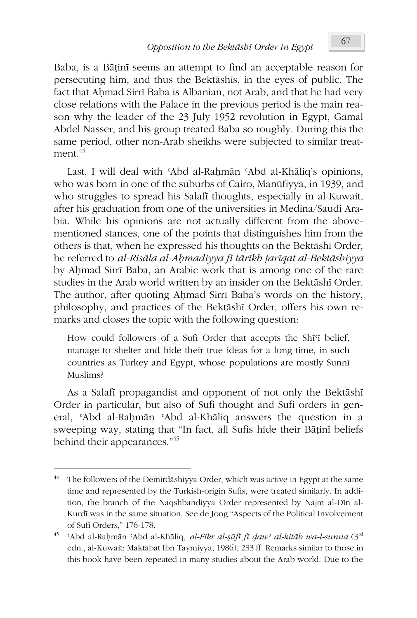Baba, is a Bāṭinī seems an attempt to find an acceptable reason for persecuting him, and thus the Bektāshīs, in the eyes of public. The fact that Ahmad Sirrī Baba is Albanian, not Arab, and that he had very close relations with the Palace in the previous period is the main reason why the leader of the 23 July 1952 revolution in Egypt, Gamal Abdel Nasser, and his group treated Baba so roughly. During this the same period, other non-Arab sheikhs were subjected to similar treat $ment.<sup>44</sup>$ 

Last, I will deal with 'Abd al-Raḥmān 'Abd al-Khāliq's opinions, who was born in one of the suburbs of Cairo, Manáfiyya, in 1939, and who struggles to spread his Salafi thoughts, especially in al-Kuwait, after his graduation from one of the universities in Medina/Saudi Arabia. While his opinions are not actually different from the abovementioned stances, one of the points that distinguishes him from the others is that, when he expressed his thoughts on the Bektāshī Order, he referred to *al-RisÃla al-AĜmadiyya fÑ tÃUÑkh İarÑqat al-BektÃshiyya*  by Ahmad Sirrī Baba, an Arabic work that is among one of the rare studies in the Arab world written by an insider on the Bektāshī Order. The author, after quoting Ahmad Sirrī Baba's words on the history, philosophy, and practices of the Bektāshī Order, offers his own remarks and closes the topic with the following question:

How could followers of a Sufi Order that accepts the Shi<sup>q</sup> belief, manage to shelter and hide their true ideas for a long time, in such countries as Turkey and Egypt, whose populations are mostly Sunni Muslims?

As a Salafi propagandist and opponent of not only the Bektāshī Order in particular, but also of Sufi thought and Sufi orders in general, Abd al-Raḥmān Abd al-Khāliq answers the question in a sweeping way, stating that "In fact, all Sufis hide their Bāṭinī beliefs behind their appearances."<sup>45</sup>

The followers of the Demirdãshiyya Order, which was active in Egypt at the same time and represented by the Turkish-origin Sufis, were treated similarly. In addition, the branch of the Naqshbandiyya Order represented by Najm al-Dīn al-Kurdī was in the same situation. See de Jong "Aspects of the Political Involvement of Sufi Orders," 176-178.

<sup>&</sup>lt;sup>45</sup> 'Abd al-Raḥmān 'Abd al-Khāliq, *al-Fikr al-ṣūfī fī ḍaw<sup>,</sup> al-kitāb wa-l-sunna* (3<sup>rd</sup> edn., al-Kuwait: Maktabat Ibn Taymiyya, 1986), 233 ff. Remarks similar to those in this book have been repeated in many studies about the Arab world. Due to the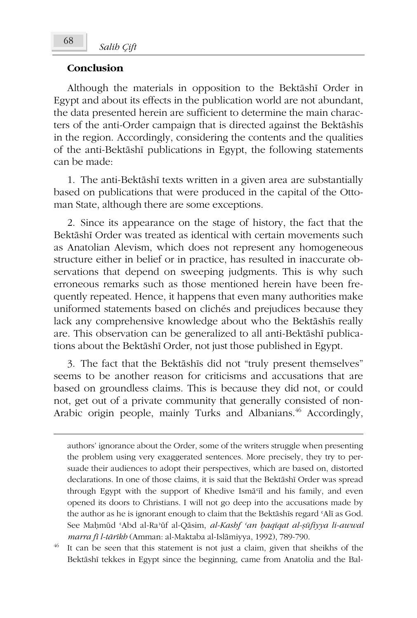#### **Conclusion**

Although the materials in opposition to the Bektāshī Order in Egypt and about its effects in the publication world are not abundant, the data presented herein are sufficient to determine the main characters of the anti-Order campaign that is directed against the Bektāshīs in the region. Accordingly, considering the contents and the qualities of the anti-Bektāshī publications in Egypt, the following statements can be made:

1. The anti-Bektāshī texts written in a given area are substantially based on publications that were produced in the capital of the Ottoman State, although there are some exceptions.

2. Since its appearance on the stage of history, the fact that the Bektāshī Order was treated as identical with certain movements such as Anatolian Alevism, which does not represent any homogeneous structure either in belief or in practice, has resulted in inaccurate observations that depend on sweeping judgments. This is why such erroneous remarks such as those mentioned herein have been frequently repeated. Hence, it happens that even many authorities make uniformed statements based on clichés and prejudices because they lack any comprehensive knowledge about who the Bektāshīs really are. This observation can be generalized to all anti-Bektāshī publications about the Bektāshī Order, not just those published in Egypt.

3. The fact that the Bektāshīs did not "truly present themselves" seems to be another reason for criticisms and accusations that are based on groundless claims. This is because they did not, or could not, get out of a private community that generally consisted of non-Arabic origin people, mainly Turks and Albanians.<sup>46</sup> Accordingly,

It can be seen that this statement is not just a claim, given that sheikhs of the Bektāshī tekkes in Egypt since the beginning, came from Anatolia and the Bal-

authors' ignorance about the Order, some of the writers struggle when presenting the problem using very exaggerated sentences. More precisely, they try to persuade their audiences to adopt their perspectives, which are based on, distorted declarations. In one of those claims, it is said that the Bektāshī Order was spread through Egypt with the support of Khedive Ismā<sup>q</sup>l and his family, and even opened its doors to Christians. I will not go deep into the accusations made by the author as he is ignorant enough to claim that the Bektāshīs regard 'Alī as God. See Mahmūd 'Abd al-Ra'ūf al-Qāsim, *al-Kashf 'an baqīqat al-șūfiyya li-awwal marra fī l-tārīkh* (Amman: al-Maktaba al-Islāmiyya, 1992), 789-790.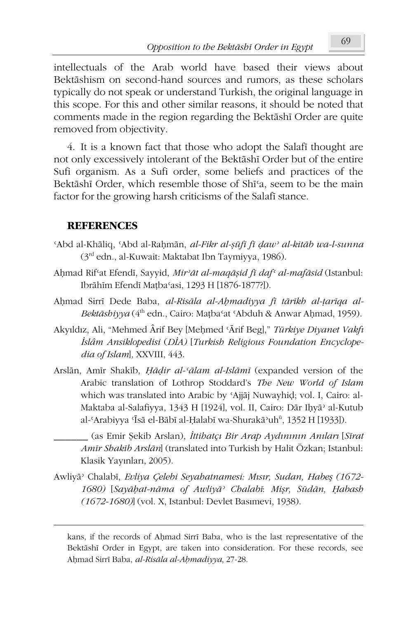intellectuals of the Arab world have based their views about Bektāshism on second-hand sources and rumors, as these scholars typically do not speak or understand Turkish, the original language in this scope. For this and other similar reasons, it should be noted that comments made in the region regarding the Bektāshī Order are quite removed from objectivity.

4. It is a known fact that those who adopt the Salafi thought are not only excessively intolerant of the Bektāshī Order but of the entire Sufi organism. As a Sufi order, some beliefs and practices of the Bektāshī Order, which resemble those of Shī<sup>c</sup>a, seem to be the main factor for the growing harsh criticisms of the Salafi stance.

# **REFERENCES**

<u>.</u>

- <sup>*s*</sup>Abd al-Khāliq, 'Abd al-Raḥmān, *al-Fikr al-ṣūfī fī ḍaw<sup>,</sup> al-kitāb wa-l-sunna* (3rd edn., al-Kuwait: Maktabat Ibn Taymiyya, 1986).
- \$Ĝmad Rifþat EfendÑ, Sayyid, *MirýÃt al-maqÃĮid fÑ dafþ al-mafÃsid* (Istanbul: Ibrāhīm Efendī Mațba'asi, 1293 H [1876-1877?]).
- \$Ĝmad SirrÑ Dede Baba, *al-RisÃla al-AĜmadiyya fÑ tÃUÑkh al-İarÑqa al-Bektāshiγya* (4<sup>th</sup> edn., Cairo: Maṭbaʿat ʿAbduh & Anwar Aḥmad, 1959).
- Akyıldız, Ali, "Mehmed Ârif Bey [Mehmed 'Ārif Beg]," *Türkiye Diyanet Vakfı Ôslâm Ansiklopedisi* (*'ÔA)* [*Turkish Religious Foundation Encyclopedia of Islam*]*,* XXVIII, 443.
- Arslān, Amīr Shakīb, *Hādir al-'ālam al-Islāmī* (expanded version of the Arabic translation of Lothrop Stoddard's *The New World of Islam* which was translated into Arabic by 'Ajjāj Nuwayhiḍ; vol. I, Cairo: al-Maktaba al-Salafiyya, 1343 H [1924], vol. II, Cairo: Dār Iḥyā' al-Kutub al-ʿArabiyya ʿĪsā el-Bābī al-Ḥalabī wa-Shurakāʾuhʰ, 1352 H [1933]).

\_\_\_\_\_\_ (as Emir ȝekib Arslan), *ÔttihatçÕ Bir Arap AydÕQÕQÕn AnÕlarÕ* [*6Ñrat AmÑr ShakÑb ArslÃn*] (translated into Turkish by Halit Özkan; Istanbul: Klasik Yayınları, 2005).

Awliyā<sup>,</sup> Chalabī, *Evliya Çelebi Seyahatnamesi: Mısır, Sudan, Habeş (1672-1680)* [*SayÃĜat-nÃma of AwliyÃý ChalabÑ*: *MiĮr, SáGÃn, ěabash (1672-1680)*] (vol. X, Istanbul: Devlet Basımevi, 1938).

kans, if the records of Ahmad Sirrī Baba, who is the last representative of the Bektāshī Order in Egypt, are taken into consideration. For these records, see  $A$ hmad Sirrī Baba, *al-Risāla al-Ahmadiyya*, 27-28.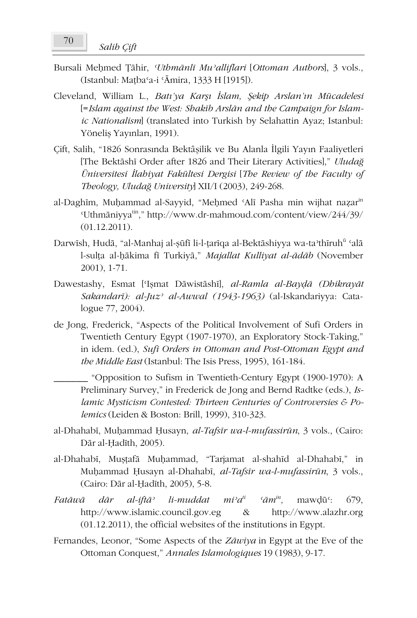- Bursali Meḥmed Țāhir, *Uthmānlī Mu'alliflari* [Ottoman Authors], 3 vols., (Istanbul: Matba $a$ -i  $\overline{A}$ mira, 1333 H [1915]).
- Cleveland, William L., *BatÕ'ya KarȞÕ Ôslam, ȝekip Arslan'Õn Mücadelesi* [=*Islam against the West: ShakÑb ArslÃn and the Campaign for Islamic Nationalism*] (translated into Turkish by Selahattin Ayaz; Istanbul: Yöneliş Yayınları, 1991).
- Çift, Salih, "1826 Sonrasında Bektâşilik ve Bu Alanla İlgili Yayın Faaliyetleri [The Bektāshī Order after 1826 and Their Literary Activities]," *Uludağ Üniversitesi Ôlahiyat Fakültesi Dergisi* [*The Review of the Faculty of Theology, UludaÍ University*] XII/I (2003), 249-268.
- al-Daghīm, Muḥammad al-Sayyid, "Meḥmed 'Alī Pasha min wijhat nazarin þUthmÃniyyatin," http://www.dr-mahmoud.com/content/view/244/39/ (01.12.2011).
- Darwīsh, Hudā, "al-Manhaj al-șūfī li-l-ṭarīqa al-Bektāshiyya wa-taʾthīruh<sup>ū</sup> 'alā l-sulța al-hākima fī Turkiyā," Majallat Kulliyat al-ādāb (November 2001), 1-71.
- Dawestashy, Esmat ['Işmat Dāwistāshī], *al-Ramla al-Baydā (Dhikrayāt SakandarÑ): al-Juzý al-Awwal (1943-1963)* (al-Iskandariyya: Catalogue 77, 2004).
- de Jong, Frederick, "Aspects of the Political Involvement of Sufi Orders in Twentieth Century Egypt (1907-1970), an Exploratory Stock-Taking," in idem. (ed.), *Sufi Orders in Ottoman and Post-Ottoman Egypt and the Middle East* (Istanbul: The Isis Press, 1995), 161-184.

\_\_\_\_\_\_ "Opposition to Sufism in Twentieth-Century Egypt (1900-1970): A Preliminary Survey," in Frederick de Jong and Bernd Radtke (eds.), *Islamic Mysticism Contested: Thirteen Centuries of Controversies & Polemics* (Leiden & Boston: Brill, 1999), 310-323.

- al-Dhahabī, Muḥammad Ḥusayn, al-Tafsīr wa-l-mufassirūn, 3 vols., (Cairo: Dār al-Ḥadīth, 2005).
- al-Dhahabī, Muștafā Muḥammad, "Tarjamat al-shahīd al-Dhahabī," in Muḥammad Ḥusayn al-Dhahabī, *al-Tafsīr wa-l-mufassirūn*, 3 vols., (Cairo: Dār al-Ḥadīth, 2005), 5-8.
- *FatÃZÃ dÃr al-iftÃý li-muddat miýa*  $\zeta$ *ām*<sup>*in*</sup>, mawdū<sup>c</sup>: 679, http://www.islamic.council.gov.eg & http://www.alazhr.org (01.12.2011), the official websites of the institutions in Egypt.
- Fernandes, Leonor, "Some Aspects of the *Zāwiya* in Egypt at the Eve of the Ottoman Conquest," *Annales Islamologiques* 19 (1983), 9-17.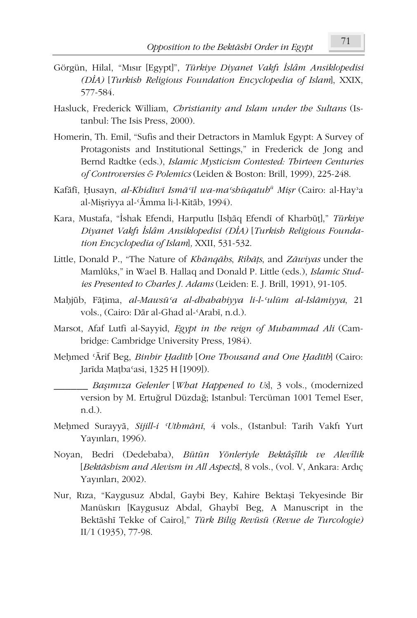- Görgün, Hilal, "Mısır [Egypt]", *Türkiye Diyanet Vakfı İslâm Ansiklopedisi (DÔA)* [*Turkish Religious Foundation Encyclopedia of Islam*], XXIX, 577-584.
- Hasluck, Frederick William, *Christianity and Islam under the Sultans* (Istanbul: The Isis Press, 2000).
- Homerin, Th. Emil, "Sufis and their Detractors in Mamluk Egypt: A Survey of Protagonists and Institutional Settings," in Frederick de Jong and Bernd Radtke (eds.), *Islamic Mysticism Contested: Thirteen Centuries of Controversies & Polemics* (Leiden & Boston: Brill, 1999), 225-248.
- Kafāfī, Ḥusayn, *al-Khidīwī Ismāʿīl wa-maʿshūqatuh<sup>ā</sup> Miṣr* (Cairo: al-Hayʾa al-Misriyya al-ʿĀmma li-l-Kitāb, 1994).
- Kara, Mustafa, "İshak Efendi, Harputlu [Ishāq Efendī of Kharbūt]," Türkiye *Divanet Vakfı İslâm Ansiklopedisi (DİA)* [Turkish Religious Founda*tion Encyclopedia of Islam*]*,* XXII, 531-532.
- Little, Donald P., "The Nature of *Khānqāhs*, *Ribāts*, and *Zāwiyas* under the Mamláks," in Wael B. Hallaq and Donald P. Little (eds.), *Islamic Studies Presented to Charles J. Adams* (Leiden: E. J. Brill, 1991), 91-105.
- MaĜMáb, FÃİima, *al-Mawsáþa al-dhahabiyya li-l-þulám al-IslÃmiyya*, 21 vols., (Cairo: Dār al-Ghad al-ʿArabī, n.d.).
- Marsot, Afaf Lutfi al-Sayyid, *Egypt in the reign of Muhammad Ali* (Cambridge: Cambridge University Press, 1984).
- MeĜmed þÂrif Beg, *Binbir ěadÑth* [*One Thousand and One ěadÑth*] (Cairo: Jarīda Matba<sup>c</sup>asi, 1325 H [1909]).

\_\_\_\_\_\_ *BaȞÕPÕza Gelenler* [*What Happened to Us*], 3 vols., (modernized version by M. Ertuğrul Düzdağ; Istanbul: Tercüman 1001 Temel Eser, n.d.).

- Meḥmed Surayyā, *Sijill-i ʿUthmānī*, 4 vols., (Istanbul: Tarih Vakfı Yurt Yayınları, 1996).
- Noyan, Bedri (Dedebaba), *Bütün Yönleriyle BektâȞîlik ve Alevîlik*  [*Bektāshism and Alevism in All Aspects*], 8 vols., (vol. V, Ankara: Ardıç Yayınları, 2002).
- Nur, Rıza, "Kaygusuz Abdal, Gaybi Bey, Kahire Bektaşi Tekyesinde Bir Manüskiri [Kaygusuz Abdal, Ghaybī Beg, A Manuscript in the Bektāshī Tekke of Cairo]," *Türk Bilig Revüsü (Revue de Turcologie)* II/1 (1935), 77-98.